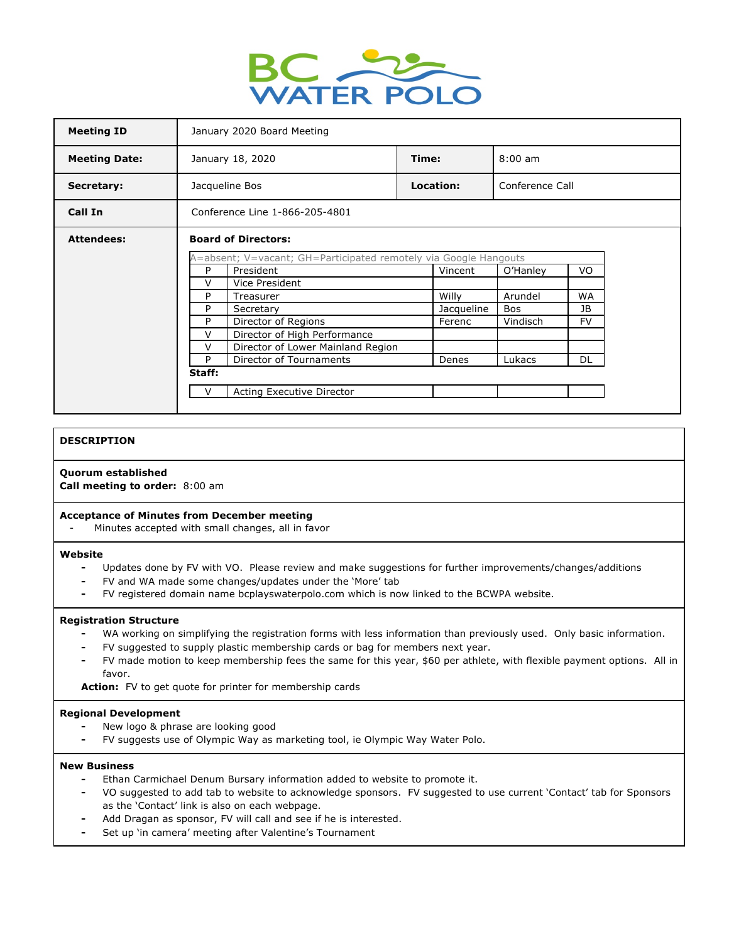

| <b>Meeting ID</b>    | January 2020 Board Meeting                                                                     |            |                         |  |
|----------------------|------------------------------------------------------------------------------------------------|------------|-------------------------|--|
| <b>Meeting Date:</b> | January 18, 2020                                                                               | Time:      | $8:00 \text{ am}$       |  |
| Secretary:           | Jacqueline Bos                                                                                 | Location:  | Conference Call         |  |
| Call In              | Conference Line 1-866-205-4801                                                                 |            |                         |  |
| <b>Attendees:</b>    | <b>Board of Directors:</b><br>A=absent; V=vacant; GH=Participated remotely via Google Hangouts |            |                         |  |
|                      | President<br>P<br>Vincent<br>O'Hanley<br>VO.                                                   |            |                         |  |
|                      | V<br>Vice President                                                                            |            |                         |  |
|                      | P<br>Treasurer                                                                                 | Willy      | Arundel<br><b>WA</b>    |  |
|                      | P<br>Secretary                                                                                 | Jacqueline | <b>JB</b><br><b>Bos</b> |  |
|                      | P<br>Director of Regions                                                                       | Ferenc     | <b>FV</b><br>Vindisch   |  |
|                      | V<br>Director of High Performance                                                              |            |                         |  |
|                      | v<br>Director of Lower Mainland Region                                                         |            |                         |  |
|                      | P<br>Director of Tournaments                                                                   | Denes      | <b>DL</b><br>Lukacs     |  |
|                      | Staff:                                                                                         |            |                         |  |
|                      | $\vee$<br>Acting Executive Director                                                            |            |                         |  |
|                      |                                                                                                |            |                         |  |

### **DESCRIPTION**

# **Quorum established**

**Call meeting to order:** 8:00 am

### **Acceptance of Minutes from December meeting**

Minutes accepted with small changes, all in favor

#### **Website**

- **-** Updates done by FV with VO. Please review and make suggestions for further improvements/changes/additions
- **-** FV and WA made some changes/updates under the 'More' tab
- **-** FV registered domain name bcplayswaterpolo.com which is now linked to the BCWPA website.

#### **Registration Structure**

- **-** WA working on simplifying the registration forms with less information than previously used. Only basic information.
- **-** FV suggested to supply plastic membership cards or bag for members next year.
- **-** FV made motion to keep membership fees the same for this year, \$60 per athlete, with flexible payment options. All in favor.

**Action:** FV to get quote for printer for membership cards

### **Regional Development**

- **-** New logo & phrase are looking good
- **-** FV suggests use of Olympic Way as marketing tool, ie Olympic Way Water Polo.

#### **New Business**

- **-** Ethan Carmichael Denum Bursary information added to website to promote it.
- **-** VO suggested to add tab to website to acknowledge sponsors. FV suggested to use current 'Contact' tab for Sponsors as the 'Contact' link is also on each webpage.
- **-** Add Dragan as sponsor, FV will call and see if he is interested.
- **-** Set up 'in camera' meeting after Valentine's Tournament